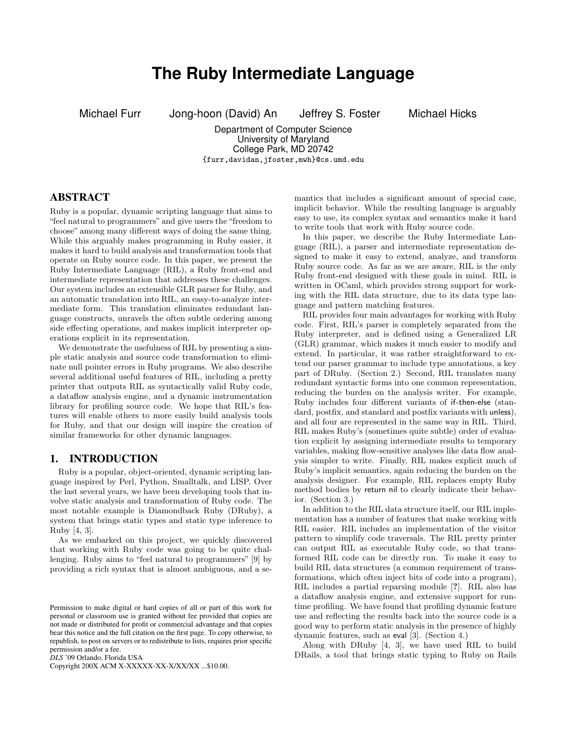# **The Ruby Intermediate Language**

Michael Furr Jong-hoon (David) An Jeffrey S. Foster Michael Hicks

Department of Computer Science University of Maryland College Park, MD 20742 {furr,davidan,jfoster,mwh}@cs.umd.edu

## ABSTRACT

Ruby is a popular, dynamic scripting language that aims to "feel natural to programmers" and give users the "freedom to choose" among many different ways of doing the same thing. While this arguably makes programming in Ruby easier, it makes it hard to build analysis and transformation tools that operate on Ruby source code. In this paper, we present the Ruby Intermediate Language (RIL), a Ruby front-end and intermediate representation that addresses these challenges. Our system includes an extensible GLR parser for Ruby, and an automatic translation into RIL, an easy-to-analyze intermediate form. This translation eliminates redundant language constructs, unravels the often subtle ordering among side effecting operations, and makes implicit interpreter operations explicit in its representation.

We demonstrate the usefulness of RIL by presenting a simple static analysis and source code transformation to eliminate null pointer errors in Ruby programs. We also describe several additional useful features of RIL, including a pretty printer that outputs RIL as syntactically valid Ruby code, a dataflow analysis engine, and a dynamic instrumentation library for profiling source code. We hope that RIL's features will enable others to more easily build analysis tools for Ruby, and that our design will inspire the creation of similar frameworks for other dynamic languages.

## 1. INTRODUCTION

Ruby is a popular, object-oriented, dynamic scripting language inspired by Perl, Python, Smalltalk, and LISP. Over the last several years, we have been developing tools that involve static analysis and transformation of Ruby code. The most notable example is Diamondback Ruby (DRuby), a system that brings static types and static type inference to Ruby [4, 3].

As we embarked on this project, we quickly discovered that working with Ruby code was going to be quite challenging. Ruby aims to "feel natural to programmers" [9] by providing a rich syntax that is almost ambiguous, and a se-

*DLS* '09 Orlando, Florida USA

Copyright 200X ACM X-XXXXX-XX-X/XX/XX ...\$10.00.

mantics that includes a significant amount of special case, implicit behavior. While the resulting language is arguably easy to use, its complex syntax and semantics make it hard to write tools that work with Ruby source code.

In this paper, we describe the Ruby Intermediate Language (RIL), a parser and intermediate representation designed to make it easy to extend, analyze, and transform Ruby source code. As far as we are aware, RIL is the only Ruby front-end designed with these goals in mind. RIL is written in OCaml, which provides strong support for working with the RIL data structure, due to its data type language and pattern matching features.

RIL provides four main advantages for working with Ruby code. First, RIL's parser is completely separated from the Ruby interpreter, and is defined using a Generalized LR (GLR) grammar, which makes it much easier to modify and extend. In particular, it was rather straightforward to extend our parser grammar to include type annotations, a key part of DRuby. (Section 2.) Second, RIL translates many redundant syntactic forms into one common representation, reducing the burden on the analysis writer. For example, Ruby includes four different variants of if-then-else (standard, postfix, and standard and postfix variants with unless), and all four are represented in the same way in RIL. Third, RIL makes Ruby's (sometimes quite subtle) order of evaluation explicit by assigning intermediate results to temporary variables, making flow-sensitive analyses like data flow analysis simpler to write. Finally, RIL makes explicit much of Ruby's implicit semantics, again reducing the burden on the analysis designer. For example, RIL replaces empty Ruby method bodies by return nil to clearly indicate their behavior. (Section 3.)

In addition to the RIL data structure itself, our RIL implementation has a number of features that make working with RIL easier. RIL includes an implementation of the visitor pattern to simplify code traversals. The RIL pretty printer can output RIL as executable Ruby code, so that transformed RIL code can be directly run. To make it easy to build RIL data structures (a common requirement of transformations, which often inject bits of code into a program), RIL includes a partial reparsing module [?]. RIL also has a dataflow analysis engine, and extensive support for runtime profiling. We have found that profiling dynamic feature use and reflecting the results back into the source code is a good way to perform static analysis in the presence of highly dynamic features, such as eval [3]. (Section 4.)

Along with DRuby [4, 3], we have used RIL to build DRails, a tool that brings static typing to Ruby on Rails

Permission to make digital or hard copies of all or part of this work for personal or classroom use is granted without fee provided that copies are not made or distributed for profit or commercial advantage and that copies bear this notice and the full citation on the first page. To copy otherwise, to republish, to post on servers or to redistribute to lists, requires prior specific permission and/or a fee.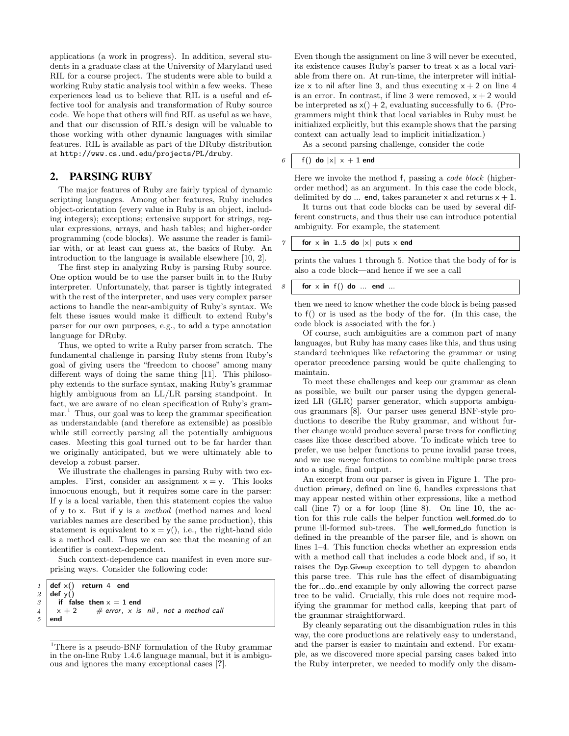applications (a work in progress). In addition, several students in a graduate class at the University of Maryland used RIL for a course project. The students were able to build a working Ruby static analysis tool within a few weeks. These experiences lead us to believe that RIL is a useful and effective tool for analysis and transformation of Ruby source code. We hope that others will find RIL as useful as we have, and that our discussion of RIL's design will be valuable to those working with other dynamic languages with similar features. RIL is available as part of the DRuby distribution at http://www.cs.umd.edu/projects/PL/druby.

## 2. PARSING RUBY

The major features of Ruby are fairly typical of dynamic scripting languages. Among other features, Ruby includes object-orientation (every value in Ruby is an object, including integers); exceptions; extensive support for strings, regular expressions, arrays, and hash tables; and higher-order programming (code blocks). We assume the reader is familiar with, or at least can guess at, the basics of Ruby. An introduction to the language is available elsewhere [10, 2].

The first step in analyzing Ruby is parsing Ruby source. One option would be to use the parser built in to the Ruby interpreter. Unfortunately, that parser is tightly integrated with the rest of the interpreter, and uses very complex parser actions to handle the near-ambiguity of Ruby's syntax. We felt these issues would make it difficult to extend Ruby's parser for our own purposes, e.g., to add a type annotation language for DRuby.

Thus, we opted to write a Ruby parser from scratch. The fundamental challenge in parsing Ruby stems from Ruby's goal of giving users the "freedom to choose" among many different ways of doing the same thing [11]. This philosophy extends to the surface syntax, making Ruby's grammar highly ambiguous from an LL/LR parsing standpoint. In fact, we are aware of no clean specification of Ruby's grammar.<sup>1</sup> Thus, our goal was to keep the grammar specification as understandable (and therefore as extensible) as possible while still correctly parsing all the potentially ambiguous cases. Meeting this goal turned out to be far harder than we originally anticipated, but we were ultimately able to develop a robust parser.

We illustrate the challenges in parsing Ruby with two examples. First, consider an assignment  $x = y$ . This looks innocuous enough, but it requires some care in the parser: If y is a local variable, then this statement copies the value of y to x. But if y is a method (method names and local variables names are described by the same production), this statement is equivalent to  $x = y($ ), i.e., the right-hand side is a method call. Thus we can see that the meaning of an identifier is context-dependent.

Such context-dependence can manifest in even more surprising ways. Consider the following code:

```
1 def \times() return 4 end
2 \mid def y()
3 if false then x = 1 end
4 \mid x + 2 \neq \text{error}, x \text{ is } \text{nil}, \text{ not a method call}5 end
```
Even though the assignment on line 3 will never be executed, its existence causes Ruby's parser to treat x as a local variable from there on. At run-time, the interpreter will initialize x to nil after line 3, and thus executing  $x + 2$  on line 4 is an error. In contrast, if line 3 were removed,  $x + 2$  would be interpreted as  $x() + 2$ , evaluating successfully to 6. (Programmers might think that local variables in Ruby must be initialized explicitly, but this example shows that the parsing context can actually lead to implicit initialization.)

As a second parsing challenge, consider the code

## $6 \mid f()$  do  $|x| \times + 1$  end

Here we invoke the method f, passing a code block (higherorder method) as an argument. In this case the code block, delimited by do ... end, takes parameter x and returns  $x + 1$ .

It turns out that code blocks can be used by several different constructs, and thus their use can introduce potential ambiguity. For example, the statement

#### for  $x$  in 1..5 do  $|x|$  puts  $x$  end

prints the values 1 through 5. Notice that the body of for is also a code block—and hence if we see a call

#### $8 \mid$  for x in f() do ... end ...

then we need to know whether the code block is being passed to f() or is used as the body of the for. (In this case, the code block is associated with the for.)

Of course, such ambiguities are a common part of many languages, but Ruby has many cases like this, and thus using standard techniques like refactoring the grammar or using operator precedence parsing would be quite challenging to maintain.

To meet these challenges and keep our grammar as clean as possible, we built our parser using the dypgen generalized LR (GLR) parser generator, which supports ambiguous grammars [8]. Our parser uses general BNF-style productions to describe the Ruby grammar, and without further change would produce several parse trees for conflicting cases like those described above. To indicate which tree to prefer, we use helper functions to prune invalid parse trees, and we use merge functions to combine multiple parse trees into a single, final output.

An excerpt from our parser is given in Figure 1. The production primary, defined on line 6, handles expressions that may appear nested within other expressions, like a method call (line 7) or a for loop (line 8). On line 10, the action for this rule calls the helper function well formed do to prune ill-formed sub-trees. The well formed do function is defined in the preamble of the parser file, and is shown on lines 1–4. This function checks whether an expression ends with a method call that includes a code block and, if so, it raises the Dyp.Giveup exception to tell dypgen to abandon this parse tree. This rule has the effect of disambiguating the for...do..end example by only allowing the correct parse tree to be valid. Crucially, this rule does not require modifying the grammar for method calls, keeping that part of the grammar straightforward.

By cleanly separating out the disambiguation rules in this way, the core productions are relatively easy to understand, and the parser is easier to maintain and extend. For example, as we discovered more special parsing cases baked into the Ruby interpreter, we needed to modify only the disam-

 $^1\rm{There}$  is a pseudo-BNF formulation of the Ruby grammar in the on-line Ruby 1.4.6 language manual, but it is ambiguous and ignores the many exceptional cases [?].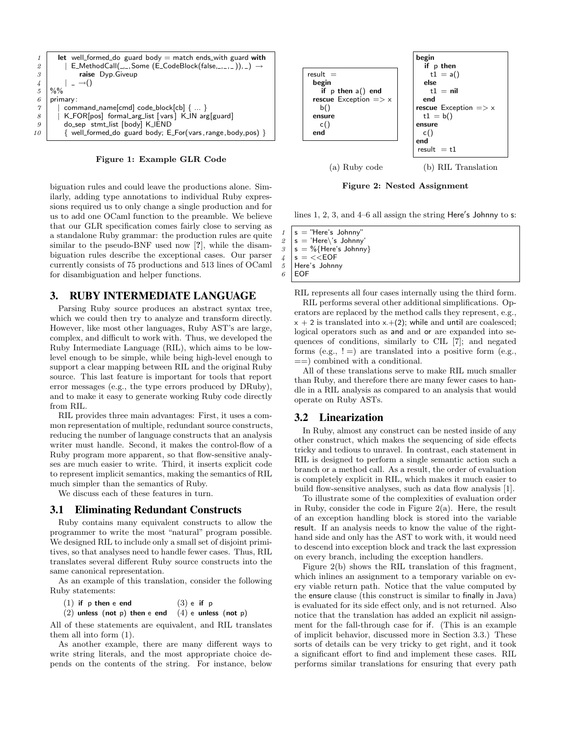

Figure 1: Example GLR Code

biguation rules and could leave the productions alone. Similarly, adding type annotations to individual Ruby expressions required us to only change a single production and for us to add one OCaml function to the preamble. We believe that our GLR specification comes fairly close to serving as a standalone Ruby grammar: the production rules are quite similar to the pseudo-BNF used now [?], while the disambiguation rules describe the exceptional cases. Our parser currently consists of 75 productions and 513 lines of OCaml for disambiguation and helper functions.

## 3. RUBY INTERMEDIATE LANGUAGE

Parsing Ruby source produces an abstract syntax tree, which we could then try to analyze and transform directly. However, like most other languages, Ruby AST's are large, complex, and difficult to work with. Thus, we developed the Ruby Intermediate Language (RIL), which aims to be lowlevel enough to be simple, while being high-level enough to support a clear mapping between RIL and the original Ruby source. This last feature is important for tools that report error messages (e.g., the type errors produced by DRuby), and to make it easy to generate working Ruby code directly from RIL.

RIL provides three main advantages: First, it uses a common representation of multiple, redundant source constructs, reducing the number of language constructs that an analysis writer must handle. Second, it makes the control-flow of a Ruby program more apparent, so that flow-sensitive analyses are much easier to write. Third, it inserts explicit code to represent implicit semantics, making the semantics of RIL much simpler than the semantics of Ruby.

We discuss each of these features in turn.

#### 3.1 Eliminating Redundant Constructs

Ruby contains many equivalent constructs to allow the programmer to write the most "natural" program possible. We designed RIL to include only a small set of disjoint primitives, so that analyses need to handle fewer cases. Thus, RIL translates several different Ruby source constructs into the same canonical representation.

As an example of this translation, consider the following Ruby statements:

(1) if p then e end  $(3)$  e if p

 $(2)$  unless (not p) then e end  $(4)$  e unless (not p)

All of these statements are equivalent, and RIL translates them all into form (1).

As another example, there are many different ways to write string literals, and the most appropriate choice depends on the contents of the string. For instance, below



Figure 2: Nested Assignment

lines  $1, 2, 3$ , and  $4-6$  all assign the string Here's Johnny to s:

 $\begin{array}{c|c} 1 & s = "Here's Johnny" \\ \hline & s = 'Here \ 's Johnny \end{array}$  $s = 'Here \'s$  Johnny  $3 \mid s = \%$  {Here's Johnny}  $4 \mid s = \lt\lt$ EOF 5 Here's Johnny  $6$  EOF

RIL represents all four cases internally using the third form.

RIL performs several other additional simplifications. Operators are replaced by the method calls they represent, e.g.,  $x + 2$  is translated into x.+(2); while and until are coalesced; logical operators such as and and or are expanded into sequences of conditions, similarly to CIL [7]; and negated forms (e.g.,  $!=$ ) are translated into a positive form (e.g.,  $=$ ) combined with a conditional.

All of these translations serve to make RIL much smaller than Ruby, and therefore there are many fewer cases to handle in a RIL analysis as compared to an analysis that would operate on Ruby ASTs.

## 3.2 Linearization

In Ruby, almost any construct can be nested inside of any other construct, which makes the sequencing of side effects tricky and tedious to unravel. In contrast, each statement in RIL is designed to perform a single semantic action such a branch or a method call. As a result, the order of evaluation is completely explicit in RIL, which makes it much easier to build flow-sensitive analyses, such as data flow analysis [1].

To illustrate some of the complexities of evaluation order in Ruby, consider the code in Figure  $2(a)$ . Here, the result of an exception handling block is stored into the variable result. If an analysis needs to know the value of the righthand side and only has the AST to work with, it would need to descend into exception block and track the last expression on every branch, including the exception handlers.

Figure 2(b) shows the RIL translation of this fragment, which inlines an assignment to a temporary variable on every viable return path. Notice that the value computed by the ensure clause (this construct is similar to finally in Java) is evaluated for its side effect only, and is not returned. Also notice that the translation has added an explicit nil assignment for the fall-through case for if. (This is an example of implicit behavior, discussed more in Section 3.3.) These sorts of details can be very tricky to get right, and it took a significant effort to find and implement these cases. RIL performs similar translations for ensuring that every path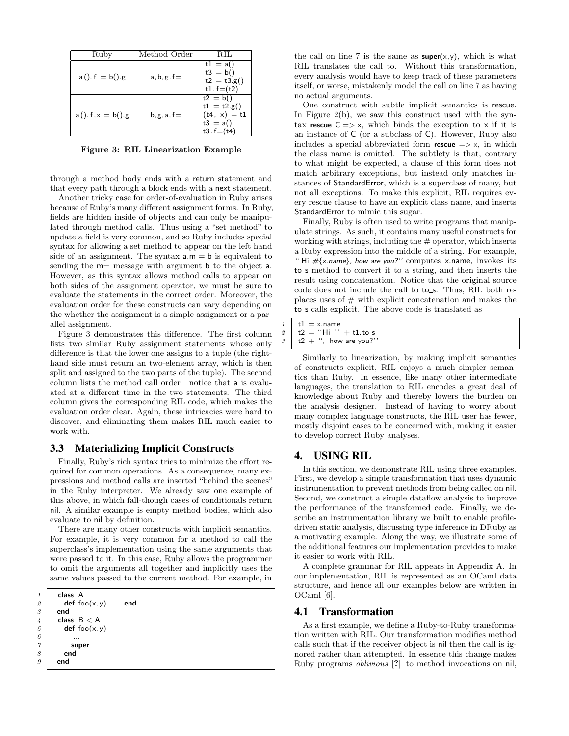| Ruby                  | Method Order   | RH.                                                                        |
|-----------------------|----------------|----------------------------------------------------------------------------|
| $a()$ . $f = b()$ . g | $a, b, g, f =$ | $t1 = a()$<br>$t3 = b()$<br>$t2 = t3.g()$<br>$t1.f=(t2)$                   |
| $a(). f, x = b()g$    | $b, g, a, f =$ | $t2 = b()$<br>$t1 = t2.g()$<br>$(t4, x) = t1$<br>$t3 = a()$<br>$t3.f=(t4)$ |

Figure 3: RIL Linearization Example

through a method body ends with a return statement and that every path through a block ends with a next statement.

Another tricky case for order-of-evaluation in Ruby arises because of Ruby's many different assignment forms. In Ruby, fields are hidden inside of objects and can only be manipulated through method calls. Thus using a "set method" to update a field is very common, and so Ruby includes special syntax for allowing a set method to appear on the left hand side of an assignment. The syntax  $a.m = b$  is equivalent to sending the m= message with argument b to the object a. However, as this syntax allows method calls to appear on both sides of the assignment operator, we must be sure to evaluate the statements in the correct order. Moreover, the evaluation order for these constructs can vary depending on the whether the assignment is a simple assignment or a parallel assignment.

Figure 3 demonstrates this difference. The first column lists two similar Ruby assignment statements whose only difference is that the lower one assigns to a tuple (the righthand side must return an two-element array, which is then split and assigned to the two parts of the tuple). The second column lists the method call order—notice that a is evaluated at a different time in the two statements. The third column gives the corresponding RIL code, which makes the evaluation order clear. Again, these intricacies were hard to discover, and eliminating them makes RIL much easier to work with.

#### 3.3 Materializing Implicit Constructs

Finally, Ruby's rich syntax tries to minimize the effort required for common operations. As a consequence, many expressions and method calls are inserted "behind the scenes" in the Ruby interpreter. We already saw one example of this above, in which fall-though cases of conditionals return nil. A similar example is empty method bodies, which also evaluate to nil by definition.

There are many other constructs with implicit semantics. For example, it is very common for a method to call the superclass's implementation using the same arguments that were passed to it. In this case, Ruby allows the programmer to omit the arguments all together and implicitly uses the same values passed to the current method. For example, in

| $\it 1$       | class A            |  |
|---------------|--------------------|--|
| $\it 2$       | def $foo(x,y)$ end |  |
| 3             | end                |  |
| $\frac{1}{4}$ | class $B < A$      |  |
| 5             | def $foo(x,y)$     |  |
| 6             | .                  |  |
| $\gamma$      | super              |  |
| 8             | end                |  |
| 9             | end                |  |

 $\boldsymbol{\beta}$ 

 $\frac{6}{7}$ 

 $\delta$ 

the call on line 7 is the same as  $super(x,y)$ , which is what RIL translates the call to. Without this transformation, every analysis would have to keep track of these parameters itself, or worse, mistakenly model the call on line 7 as having no actual arguments.

One construct with subtle implicit semantics is rescue. In Figure 2(b), we saw this construct used with the syntax rescue  $C \Rightarrow x$ , which binds the exception to x if it is an instance of C (or a subclass of C). However, Ruby also includes a special abbreviated form **rescue**  $\Rightarrow$  x, in which the class name is omitted. The subtlety is that, contrary to what might be expected, a clause of this form does not match arbitrary exceptions, but instead only matches instances of StandardError, which is a superclass of many, but not all exceptions. To make this explicit, RIL requires every rescue clause to have an explicit class name, and inserts StandardError to mimic this sugar.

Finally, Ruby is often used to write programs that manipulate strings. As such, it contains many useful constructs for working with strings, including the  $#$  operator, which inserts a Ruby expression into the middle of a string. For example, "Hi  $\# \{x.name\}$ , how are you?" computes x.name, invokes its to\_s method to convert it to a string, and then inserts the result using concatenation. Notice that the original source code does not include the call to to\_s. Thus, RIL both replaces uses of  $#$  with explicit concatenation and makes the to\_s calls explicit. The above code is translated as

| $1 \mid t1 = x$ . name         |
|--------------------------------|
| $2 \mid t2 = "Hi" + t1.to_s$   |
| $3 \mid t2 +$ ", how are you?" |

Similarly to linearization, by making implicit semantics of constructs explicit, RIL enjoys a much simpler semantics than Ruby. In essence, like many other intermediate languages, the translation to RIL encodes a great deal of knowledge about Ruby and thereby lowers the burden on the analysis designer. Instead of having to worry about many complex language constructs, the RIL user has fewer, mostly disjoint cases to be concerned with, making it easier to develop correct Ruby analyses.

## 4. USING RIL

In this section, we demonstrate RIL using three examples. First, we develop a simple transformation that uses dynamic instrumentation to prevent methods from being called on nil. Second, we construct a simple dataflow analysis to improve the performance of the transformed code. Finally, we describe an instrumentation library we built to enable profiledriven static analysis, discussing type inference in DRuby as a motivating example. Along the way, we illustrate some of the additional features our implementation provides to make it easier to work with RIL.

A complete grammar for RIL appears in Appendix A. In our implementation, RIL is represented as an OCaml data structure, and hence all our examples below are written in OCaml [6].

## 4.1 Transformation

As a first example, we define a Ruby-to-Ruby transformation written with RIL. Our transformation modifies method calls such that if the receiver object is nil then the call is ignored rather than attempted. In essence this change makes Ruby programs oblivious [?] to method invocations on nil,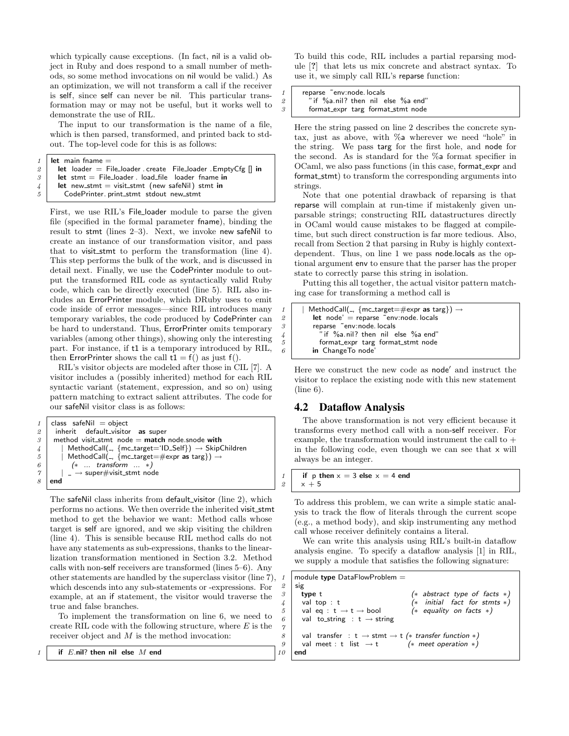which typically cause exceptions. (In fact, nil is a valid object in Ruby and does respond to a small number of methods, so some method invocations on nil would be valid.) As an optimization, we will not transform a call if the receiver is self, since self can never be nil. This particular transformation may or may not be useful, but it works well to demonstrate the use of RIL.

The input to our transformation is the name of a file, which is then parsed, transformed, and printed back to stdout. The top-level code for this is as follows:

```
1 \parallel let main fname =
```
- $2$   $\vert$  let loader  $=$  File\_loader . create File\_loader . EmptyCfg [] in
- $3$  let stmt = File\_loader . load\_file loader fname in
- $4$  | let new\_stmt = visit\_stmt (new safeNil) stmt in
- 5 CodePrinter. print\_stmt stdout new\_stmt

First, we use RIL's File loader module to parse the given file (specified in the formal parameter fname), binding the result to stmt (lines 2–3). Next, we invoke new safeNil to create an instance of our transformation visitor, and pass that to visit\_stmt to perform the transformation (line 4). This step performs the bulk of the work, and is discussed in detail next. Finally, we use the CodePrinter module to output the transformed RIL code as syntactically valid Ruby code, which can be directly executed (line 5). RIL also includes an ErrorPrinter module, which DRuby uses to emit code inside of error messages—since RIL introduces many temporary variables, the code produced by CodePrinter can be hard to understand. Thus, ErrorPrinter omits temporary variables (among other things), showing only the interesting part. For instance, if t1 is a temporary introduced by RIL, then ErrorPrinter shows the call  $t1 = f()$  as just  $f()$ .

RIL's visitor objects are modeled after those in CIL [7]. A visitor includes a (possibly inherited) method for each RIL syntactic variant (statement, expression, and so on) using pattern matching to extract salient attributes. The code for our safeNil visitor class is as follows:

```
1 \vert class safeNil = object
2 inherit default_visitor as super
3 \mid method visit_stmt node = match node.snode with
\begin{array}{c|c} \n4 & | \n\end{array} | MethodCall(., {mc_target='ID_Self}) → SkipChildren<br>
\begin{array}{c|c} \n5 & | \n\end{array} MethodCall(., {mc_target=#expr as targ}) →
             MethodCall(, {mc_target=#expr as targ}) \rightarrow6 \mid (* \dots transform \dots *)\gamma | | \rightarrow super#visit_stmt node
8 \midend
```
The safeNil class inherits from default\_visitor (line 2), which performs no actions. We then override the inherited visit\_stmt method to get the behavior we want: Method calls whose target is self are ignored, and we skip visiting the children (line 4). This is sensible because RIL method calls do not have any statements as sub-expressions, thanks to the linearlization transformation mentioned in Section 3.2. Method calls with non-self receivers are transformed (lines 5–6). Any other statements are handled by the superclass visitor (line 7), which descends into any sub-statements or -expressions. For example, at an if statement, the visitor would traverse the true and false branches.

To implement the transformation on line 6, we need to create RIL code with the following structure, where  $E$  is the receiver object and  $M$  is the method invocation:

if  $E$ .nil? then nil else  $M$  end

To build this code, RIL includes a partial reparsing module [?] that lets us mix concrete and abstract syntax. To use it, we simply call RIL's reparse function:

reparse ~env:node. locals 2  $\begin{array}{c}$  "if %a.nil? then nil else %a end"<br>3 format\_expr targ format\_stmt node format\_expr targ format\_stmt node

Here the string passed on line 2 describes the concrete syntax, just as above, with %a wherever we need "hole" in the string. We pass targ for the first hole, and node for the second. As is standard for the %a format specifier in OCaml, we also pass functions (in this case, format expr and format\_stmt) to transform the corresponding arguments into strings.

Note that one potential drawback of reparsing is that reparse will complain at run-time if mistakenly given unparsable strings; constructing RIL datastructures directly in OCaml would cause mistakes to be flagged at compiletime, but such direct construction is far more tedious. Also, recall from Section 2 that parsing in Ruby is highly contextdependent. Thus, on line 1 we pass node.locals as the optional argument env to ensure that the parser has the proper state to correctly parse this string in isolation.

Putting this all together, the actual visitor pattern matching case for transforming a method call is

```
MethodCall( , {mc_target=#expr as targ}) \rightarrow2 let node' = reparse \tilde{e} env: node. locals
3 reparse ~env:node. locals
4 \frac{1}{4} \frac{1}{1} \frac{1}{2} if %a.nil? then nil else %a end"
5 format_expr targ format_stmt node
          in ChangeTo node'
```
Here we construct the new code as node' and instruct the visitor to replace the existing node with this new statement (line 6).

## 4.2 Dataflow Analysis

The above transformation is not very efficient because it transforms every method call with a non-self receiver. For example, the transformation would instrument the call to  $\boldsymbol{+}$ in the following code, even though we can see that x will always be an integer.

1 if p then  $x = 3$  else  $x = 4$  end  $2 \times +5$ 

 $\gamma$ 

To address this problem, we can write a simple static analysis to track the flow of literals through the current scope (e.g., a method body), and skip instrumenting any method call whose receiver definitely contains a literal.

We can write this analysis using RIL's built-in dataflow analysis engine. To specify a dataflow analysis [1] in RIL, we supply a module that satisfies the following signature:

 $model$  type DataFlowProblem  $=$ sig 3 type t (∗ abstract type of facts ∗) val top : t  $(*$  initial fact for stmts  $*$ ) val eq :  $t \rightarrow t \rightarrow$  bool (\* equality on facts \*) 6 val to\_string : t  $\rightarrow$  string 8 val transfer : t  $\rightarrow$  stmt  $\rightarrow$  t (\* transfer function \*) 9 val meet : t list  $\rightarrow$  t (\* meet operation \*) 10  $|$  end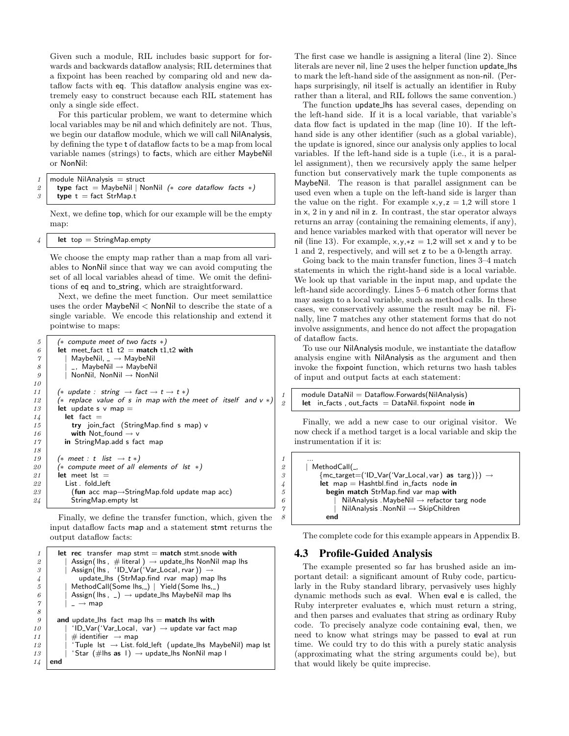Given such a module, RIL includes basic support for forwards and backwards dataflow analysis; RIL determines that a fixpoint has been reached by comparing old and new dataflow facts with eq. This dataflow analysis engine was extremely easy to construct because each RIL statement has only a single side effect.

For this particular problem, we want to determine which local variables may be nil and which definitely are not. Thus, we begin our dataflow module, which we will call NilAnalysis, by defining the type t of dataflow facts to be a map from local variable names (strings) to facts, which are either MaybeNil or NonNil:

```
1 | module NilAnalysis = struct
```
2 **type** fact = MaybeNil | NonNil (\* core dataflow facts \*)

```
3 type t = fact StrMap.t
```
Next, we define top, which for our example will be the empty map:

```
let top = StringMap. empty
```
We choose the empty map rather than a map from all variables to NonNil since that way we can avoid computing the set of all local variables ahead of time. We omit the definitions of eq and to\_string, which are straightforward.

Next, we define the meet function. Our meet semilattice uses the order MaybeNil < NonNil to describe the state of a single variable. We encode this relationship and extend it pointwise to maps:

| 5        | (* compute meet of two facts $*)$                                              |
|----------|--------------------------------------------------------------------------------|
| 6        | let meet_fact t1 t2 = match t1,t2 with                                         |
| $\gamma$ | MaybeNil, $\equiv \rightarrow$ MaybeNil                                        |
| 8        | $\overline{\phantom{a}}$ , MaybeNil $\rightarrow$ MaybeNil                     |
| 9        | NonNil, $NonNil \rightarrow NonNil$                                            |
| 10       |                                                                                |
| 11       | (* update : string $\rightarrow$ fact $\rightarrow$ t $\rightarrow$ t $\ast$ ) |
| 12       | (* replace value of s in map with the meet of itself and $v *$ )               |
| 13       | let update s $\vee$ map $=$                                                    |
| 14       | $let$ fact $=$                                                                 |
| 15       | try join_fact (StringMap.find s map) v                                         |
| 16       | with Not_found $\rightarrow$ v                                                 |
| 17       | in StringMap.add s fact map                                                    |
| 18       |                                                                                |
| 19       | $(*)$ meet : t list $\rightarrow$ t $*)$                                       |
| 20       | (* compute meet of all elements of $ st \rangle$ )                             |
| 21       | let meet lst $=$                                                               |
| 22       | List fold left                                                                 |
| 23       | (fun acc map $\rightarrow$ StringMap.fold update map acc)                      |
| 24       | StringMap.empty lst                                                            |

Finally, we define the transfer function, which, given the input dataflow facts map and a statement stmt returns the output dataflow facts:

```
1 let rec transfer map stmt = match stmt.snode with
 2 \mid | Assign(lhs, \# literal) \rightarrow update_lhs NonNil map lhs
 3 | Assign(lhs, 'ID_Var('Var_Local, rvar)) \rightarrow4 update_lhs (StrMap.find rvar map) map lhs<br>
1 MethodCall(Some lhs, ) | Yield (Some lhs, )
              MethodCall(Some Ins, _{\sim}) | Yield (Some lhs, )
 6 | Assign(lhs, _) \rightarrow update_lhs MaybeNil map lhs \gamma | \rightarrow map
              \overline{\phantom{a}} \rightarrow map
 8
9 and update lhs fact map lhs = match lhs with<br>
10 | 'ID_Var('Var_Local, var) \rightarrow update var fact
               11D_Var('Var_Local, var) \rightarrow update var fact map
11 | \# identifier \to map
12 | \blacksquare 'Tuple lst \rightarrow List. fold_left (update_lhs MaybeNil) map lst
13 | | 'Star (#lhs as 1) \rightarrow update_lhs NonNil map I
14 end
```
The first case we handle is assigning a literal (line 2). Since literals are never nil, line 2 uses the helper function update lhs to mark the left-hand side of the assignment as non-nil. (Perhaps surprisingly, nil itself is actually an identifier in Ruby rather than a literal, and RIL follows the same convention.)

The function update lhs has several cases, depending on the left-hand side. If it is a local variable, that variable's data flow fact is updated in the map (line 10). If the lefthand side is any other identifier (such as a global variable), the update is ignored, since our analysis only applies to local variables. If the left-hand side is a tuple (i.e., it is a parallel assignment), then we recursively apply the same helper function but conservatively mark the tuple components as MaybeNil. The reason is that parallel assignment can be used even when a tuple on the left-hand side is larger than the value on the right. For example  $x,y,z = 1,2$  will store 1 in x, 2 in y and nil in z. In contrast, the star operator always returns an array (containing the remaining elements, if any), and hence variables marked with that operator will never be nil (line 13). For example,  $x, y, *z = 1,2$  will set x and y to be 1 and 2, respectively, and will set z to be a 0-length array.

Going back to the main transfer function, lines 3–4 match statements in which the right-hand side is a local variable. We look up that variable in the input map, and update the left-hand side accordingly. Lines 5–6 match other forms that may assign to a local variable, such as method calls. In these cases, we conservatively assume the result may be nil. Finally, line 7 matches any other statement forms that do not involve assignments, and hence do not affect the propagation of dataflow facts.

To use our NilAnalysis module, we instantiate the dataflow analysis engine with NilAnalysis as the argument and then invoke the fixpoint function, which returns two hash tables of input and output facts at each statement:

```
1 module DataNil = Dataflow. Forwards (NilAnalysis)
2 | let in facts, out facts = DataNil. fixpoint node in
```
Finally, we add a new case to our original visitor. We now check if a method target is a local variable and skip the instrumentation if it is:

```
2 | MethodCall(_{-1},
\overline{3} \overline{\qquad} {mc_target=('ID_Var('Var_Local, var) as targ)}) \rightarrow4 let map = Hashtbl.find in facts node in
5 begin match StrMap.find var map with
6 | NilAnalysis .MaybeNil \rightarrow refactor targ node
\gamma | NilAnalysis .NonNil \rightarrow SkipChildren
             end
```
The complete code for this example appears in Appendix B.

## 4.3 Profile-Guided Analysis

 $\mathcal I$ 

The example presented so far has brushed aside an important detail: a significant amount of Ruby code, particularly in the Ruby standard library, pervasively uses highly dynamic methods such as eval. When eval e is called, the Ruby interpreter evaluates e, which must return a string, and then parses and evaluates that string as ordinary Ruby code. To precisely analyze code containing eval, then, we need to know what strings may be passed to eval at run time. We could try to do this with a purely static analysis (approximating what the string arguments could be), but that would likely be quite imprecise.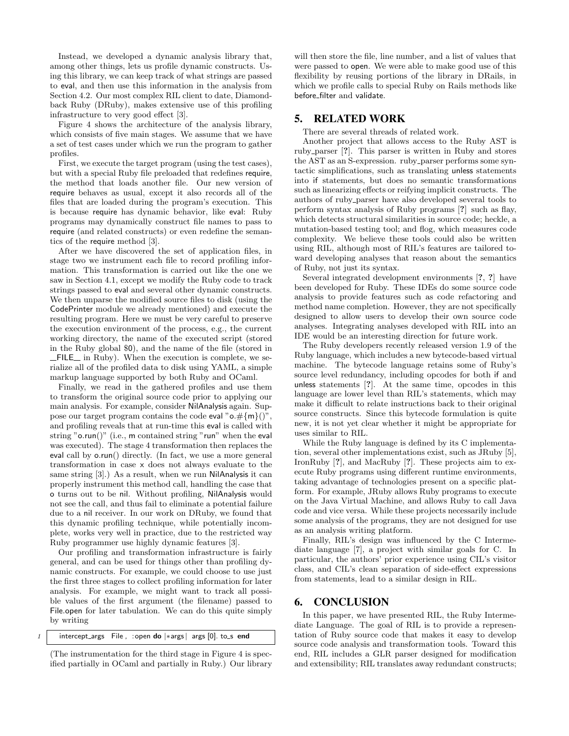Instead, we developed a dynamic analysis library that, among other things, lets us profile dynamic constructs. Using this library, we can keep track of what strings are passed to eval, and then use this information in the analysis from Section 4.2. Our most complex RIL client to date, Diamondback Ruby (DRuby), makes extensive use of this profiling infrastructure to very good effect [3].

Figure 4 shows the architecture of the analysis library, which consists of five main stages. We assume that we have a set of test cases under which we run the program to gather profiles.

First, we execute the target program (using the test cases), but with a special Ruby file preloaded that redefines require, the method that loads another file. Our new version of require behaves as usual, except it also records all of the files that are loaded during the program's execution. This is because require has dynamic behavior, like eval: Ruby programs may dynamically construct file names to pass to require (and related constructs) or even redefine the semantics of the require method [3].

After we have discovered the set of application files, in stage two we instrument each file to record profiling information. This transformation is carried out like the one we saw in Section 4.1, except we modify the Ruby code to track strings passed to eval and several other dynamic constructs. We then unparse the modified source files to disk (using the CodePrinter module we already mentioned) and execute the resulting program. Here we must be very careful to preserve the execution environment of the process, e.g., the current working directory, the name of the executed script (stored in the Ruby global \$0), and the name of the file (stored in  $\Box$  FILE $\Box$  in Ruby). When the execution is complete, we serialize all of the profiled data to disk using YAML, a simple markup language supported by both Ruby and OCaml.

Finally, we read in the gathered profiles and use them to transform the original source code prior to applying our main analysis. For example, consider NilAnalysis again. Suppose our target program contains the code eval " $o. \# \{m\}$ ")" and profiling reveals that at run-time this eval is called with string " $o.run()$ " (i.e., m contained string "run" when the eval was executed). The stage 4 transformation then replaces the eval call by o.run() directly. (In fact, we use a more general transformation in case x does not always evaluate to the same string [3].) As a result, when we run NilAnalysis it can properly instrument this method call, handling the case that o turns out to be nil. Without profiling, NilAnalysis would not see the call, and thus fail to eliminate a potential failure due to a nil receiver. In our work on DRuby, we found that this dynamic profiling technique, while potentially incomplete, works very well in practice, due to the restricted way Ruby programmer use highly dynamic features [3].

Our profiling and transformation infrastructure is fairly general, and can be used for things other than profiling dynamic constructs. For example, we could choose to use just the first three stages to collect profiling information for later analysis. For example, we might want to track all possible values of the first argument (the filename) passed to File.open for later tabulation. We can do this quite simply by writing

 $1$  | intercept\_args File, :open do  $|*args|$  args  $[0]$ . to\_s end

(The instrumentation for the third stage in Figure 4 is specified partially in OCaml and partially in Ruby.) Our library will then store the file, line number, and a list of values that were passed to open. We were able to make good use of this flexibility by reusing portions of the library in DRails, in which we profile calls to special Ruby on Rails methods like before filter and validate.

# 5. RELATED WORK

There are several threads of related work.

Another project that allows access to the Ruby AST is ruby parser [?]. This parser is written in Ruby and stores the AST as an S-expression. ruby parser performs some syntactic simplifications, such as translating unless statements into if statements, but does no semantic transformations such as linearizing effects or reifying implicit constructs. The authors of ruby parser have also developed several tools to perform syntax analysis of Ruby programs [?] such as flay, which detects structural similarities in source code; heckle, a mutation-based testing tool; and flog, which measures code complexity. We believe these tools could also be written using RIL, although most of RIL's features are tailored toward developing analyses that reason about the semantics of Ruby, not just its syntax.

Several integrated development environments [?, ?] have been developed for Ruby. These IDEs do some source code analysis to provide features such as code refactoring and method name completion. However, they are not specifically designed to allow users to develop their own source code analyses. Integrating analyses developed with RIL into an IDE would be an interesting direction for future work.

The Ruby developers recently released version 1.9 of the Ruby language, which includes a new bytecode-based virtual machine. The bytecode language retains some of Ruby's source level redundancy, including opcodes for both if and unless statements [?]. At the same time, opcodes in this language are lower level than RIL's statements, which may make it difficult to relate instructions back to their original source constructs. Since this bytecode formulation is quite new, it is not yet clear whether it might be appropriate for uses similar to RIL.

While the Ruby language is defined by its C implementation, several other implementations exist, such as JRuby [5], IronRuby [?], and MacRuby [?]. These projects aim to execute Ruby programs using different runtime environments, taking advantage of technologies present on a specific platform. For example, JRuby allows Ruby programs to execute on the Java Virtual Machine, and allows Ruby to call Java code and vice versa. While these projects necessarily include some analysis of the programs, they are not designed for use as an analysis writing platform.

Finally, RIL's design was influenced by the C Intermediate language [7], a project with similar goals for C. In particular, the authors' prior experience using CIL's visitor class, and CIL's clean separation of side-effect expressions from statements, lead to a similar design in RIL.

## 6. CONCLUSION

In this paper, we have presented RIL, the Ruby Intermediate Language. The goal of RIL is to provide a representation of Ruby source code that makes it easy to develop source code analysis and transformation tools. Toward this end, RIL includes a GLR parser designed for modification and extensibility; RIL translates away redundant constructs;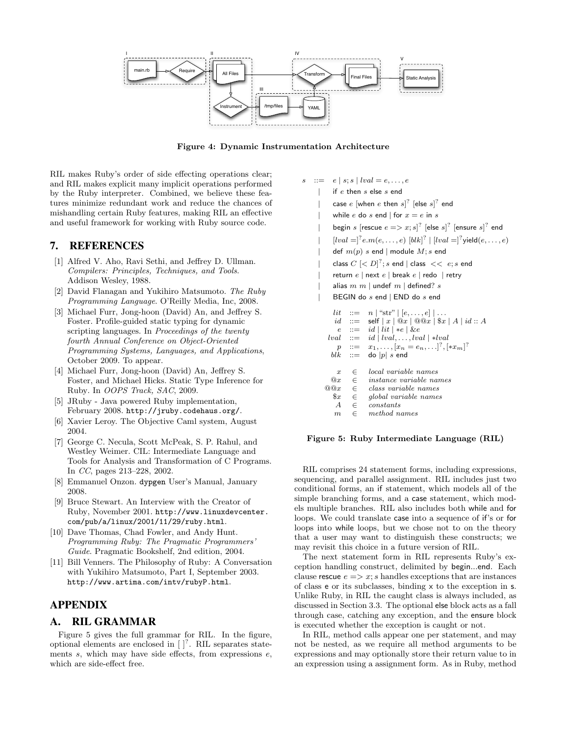

Figure 4: Dynamic Instrumentation Architecture

RIL makes Ruby's order of side effecting operations clear; and RIL makes explicit many implicit operations performed by the Ruby interpreter. Combined, we believe these features minimize redundant work and reduce the chances of mishandling certain Ruby features, making RIL an effective and useful framework for working with Ruby source code.

# 7. REFERENCES

- [1] Alfred V. Aho, Ravi Sethi, and Jeffrey D. Ullman. Compilers: Principles, Techniques, and Tools. Addison Wesley, 1988.
- [2] David Flanagan and Yukihiro Matsumoto. The Ruby Programming Language. O'Reilly Media, Inc, 2008.
- [3] Michael Furr, Jong-hoon (David) An, and Jeffrey S. Foster. Profile-guided static typing for dynamic scripting languages. In Proceedings of the twenty fourth Annual Conference on Object-Oriented Programming Systems, Languages, and Applications, October 2009. To appear.
- [4] Michael Furr, Jong-hoon (David) An, Jeffrey S. Foster, and Michael Hicks. Static Type Inference for Ruby. In OOPS Track, SAC, 2009.
- [5] JRuby Java powered Ruby implementation, February 2008. http://jruby.codehaus.org/.
- [6] Xavier Leroy. The Objective Caml system, August 2004.
- [7] George C. Necula, Scott McPeak, S. P. Rahul, and Westley Weimer. CIL: Intermediate Language and Tools for Analysis and Transformation of C Programs. In CC, pages 213–228, 2002.
- [8] Emmanuel Onzon. dypgen User's Manual, January 2008.
- [9] Bruce Stewart. An Interview with the Creator of Ruby, November 2001. http://www.linuxdevcenter. com/pub/a/linux/2001/11/29/ruby.html.
- [10] Dave Thomas, Chad Fowler, and Andy Hunt. Programming Ruby: The Pragmatic Programmers' Guide. Pragmatic Bookshelf, 2nd edition, 2004.
- [11] Bill Venners. The Philosophy of Ruby: A Conversation with Yukihiro Matsumoto, Part I, September 2003. http://www.artima.com/intv/rubyP.html.

# APPENDIX

## A. RIL GRAMMAR

Figure 5 gives the full grammar for RIL. In the figure, optional elements are enclosed in  $\left[\right]^?$ . RIL separates statements  $s$ , which may have side effects, from expressions  $e$ , which are side-effect free.

 $\therefore = e | s; s | \text{lval} = e, \dots, e$ if  $e$  then  $s$  else  $s$  end | case  $e$  [when  $e$  then  $s$ ] $\frac{2}{3}$  [else  $s$ ] $\frac{2}{3}$  end while e do s end | for  $x = e$  in s | begin s [rescue  $e \Longrightarrow x; s$ ]<sup>?</sup> [else s]<sup>?</sup> [ensure s]<sup>?</sup> end |  $[lval = ]<sup>?</sup>e.m(e,...,e) [blk]<sup>?</sup> | [lval = ]<sup>?</sup> yield(e,...,e)$ def  $m(p)$  s end | module  $M$ ; s end | class  $C \in D[^?; s$  end | class  $<< e; s$  end return  $e \mid$  next  $e \mid$  break  $e \mid$  redo  $\mid$  retry alias  $m$   $m$  | undef  $m$  | defined?  $s$ BEGIN do s end | END do s end lit ::=  $n \mid ``str" \mid [e, \ldots, e] \mid \ldots$  $id$  ::= self  $|x| \mathcal{Q}x | \mathcal{Q}x | \mathcal{X}$   $f \mathcal{X} | A | id :: A$ e ::= id | lit | ∗e | &e  $lval \ \ ::= \ \ id \ | \ lval, \ldots, lval \ | \ *lval$  $p$  ::=  $x_1, \ldots, [x_n = e_n, \ldots]^? , [*x_m]^?$  $blk \ ::= \ do |p| s \text{ end}$  $x \in \text{local variable names}$ <br>  $@x \in \text{instance variable na}$  $@x \in$  instance variable names<br> $@@x \in$  class variable names  $@x \in class$  variable names<br> $\$x \in global$  variable name.  $\epsilon$  global variable names

#### Figure 5: Ruby Intermediate Language (RIL)

 $A \in constants$  $m \in$  method names

RIL comprises 24 statement forms, including expressions, sequencing, and parallel assignment. RIL includes just two conditional forms, an if statement, which models all of the simple branching forms, and a case statement, which models multiple branches. RIL also includes both while and for loops. We could translate case into a sequence of if's or for loops into while loops, but we chose not to on the theory that a user may want to distinguish these constructs; we may revisit this choice in a future version of RIL.

The next statement form in RIL represents Ruby's exception handling construct, delimited by begin...end. Each clause rescue  $e \Rightarrow x$ ; s handles exceptions that are instances of class e or its subclasses, binding x to the exception in s. Unlike Ruby, in RIL the caught class is always included, as discussed in Section 3.3. The optional else block acts as a fall through case, catching any exception, and the ensure block is executed whether the exception is caught or not.

In RIL, method calls appear one per statement, and may not be nested, as we require all method arguments to be expressions and may optionally store their return value to in an expression using a assignment form. As in Ruby, method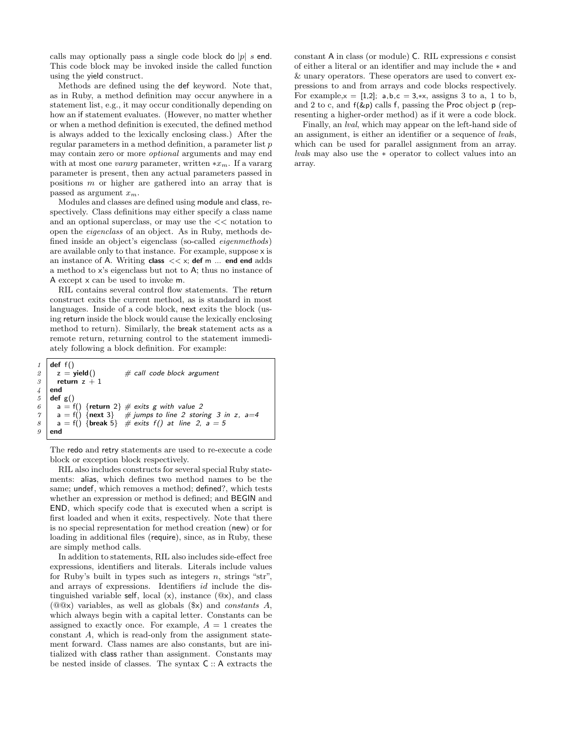calls may optionally pass a single code block do  $|p|$  s end. This code block may be invoked inside the called function using the yield construct.

Methods are defined using the def keyword. Note that, as in Ruby, a method definition may occur anywhere in a statement list, e.g., it may occur conditionally depending on how an if statement evaluates. (However, no matter whether or when a method definition is executed, the defined method is always added to the lexically enclosing class.) After the regular parameters in a method definition, a parameter list p may contain zero or more optional arguments and may end with at most one *vararg* parameter, written  $*x_m$ . If a vararg parameter is present, then any actual parameters passed in positions m or higher are gathered into an array that is passed as argument  $x_m$ .

Modules and classes are defined using module and class, respectively. Class definitions may either specify a class name and an optional superclass, or may use the << notation to open the eigenclass of an object. As in Ruby, methods defined inside an object's eigenclass (so-called eigenmethods) are available only to that instance. For example, suppose x is an instance of A. Writing class  $<< x$ ; def m ... end end adds a method to x's eigenclass but not to A; thus no instance of A except x can be used to invoke m.

RIL contains several control flow statements. The return construct exits the current method, as is standard in most languages. Inside of a code block, next exits the block (using return inside the block would cause the lexically enclosing method to return). Similarly, the break statement acts as a remote return, returning control to the statement immediately following a block definition. For example:

```
\begin{array}{c|c} 1 & \text{def } f() \\ \hline z & = \text{yield}() \end{array}# call code block argument
3 return z + 1
4 end
5 def g()
\begin{array}{c|c} 6 & a = \textsf{f}() \text{ {return 2}} \neq \textsf{exists g with value 2} \\ 7 & a = \textsf{f}() \text{ {next 3}} \neq \textsf{jumps to line 2 stor} \end{array}\gamma a = f() {next 3} # jumps to line 2 storing 3 in z, a=4
8 \mid a = f() \{break \text{break } 5 \} # exits f() at line 2, a = 59 \midend
```
The redo and retry statements are used to re-execute a code block or exception block respectively.

RIL also includes constructs for several special Ruby statements: alias, which defines two method names to be the same; undef, which removes a method; defined?, which tests whether an expression or method is defined; and BEGIN and END, which specify code that is executed when a script is first loaded and when it exits, respectively. Note that there is no special representation for method creation (new) or for loading in additional files (require), since, as in Ruby, these are simply method calls.

In addition to statements, RIL also includes side-effect free expressions, identifiers and literals. Literals include values for Ruby's built in types such as integers  $n$ , strings "str", and arrays of expressions. Identifiers id include the distinguished variable self, local  $(x)$ , instance  $(\mathbb{Q}x)$ , and class  $(Q@x)$  variables, as well as globals  $(\$x)$  and *constants A*, which always begin with a capital letter. Constants can be assigned to exactly once. For example,  $A = 1$  creates the constant A, which is read-only from the assignment statement forward. Class names are also constants, but are initialized with class rather than assignment. Constants may be nested inside of classes. The syntax C :: A extracts the constant A in class (or module) C. RIL expressions e consist of either a literal or an identifier and may include the ∗ and & unary operators. These operators are used to convert expressions to and from arrays and code blocks respectively. For example, $x = [1,2]$ ; a,b,c = 3,\*x, assigns 3 to a, 1 to b, and 2 to c, and  $f(\& p)$  calls f, passing the Proc object p (representing a higher-order method) as if it were a code block.

Finally, an lval, which may appear on the left-hand side of an assignment, is either an identifier or a sequence of lvals, which can be used for parallel assignment from an array. lvals may also use the ∗ operator to collect values into an array.